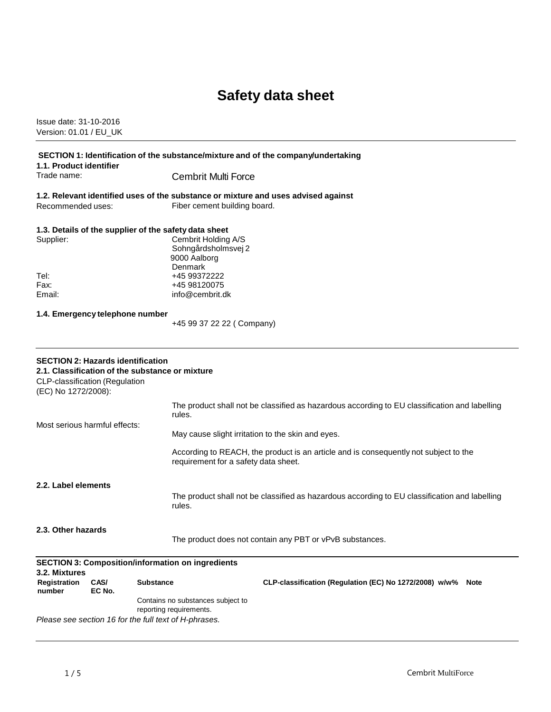# **Safety data sheet**

Issue date: 31-10-2016 Version: 01.01 / EU\_UK

| SECTION 1: Identification of the substance/mixture and of the company/undertaking<br>1.1. Product identifier                                         |                                                                                                                                |                                                                                               |
|------------------------------------------------------------------------------------------------------------------------------------------------------|--------------------------------------------------------------------------------------------------------------------------------|-----------------------------------------------------------------------------------------------|
| Trade name:                                                                                                                                          | <b>Cembrit Multi Force</b>                                                                                                     |                                                                                               |
| Recommended uses:                                                                                                                                    | 1.2. Relevant identified uses of the substance or mixture and uses advised against<br>Fiber cement building board.             |                                                                                               |
| Supplier:                                                                                                                                            | 1.3. Details of the supplier of the safety data sheet<br>Cembrit Holding A/S<br>Sohngårdsholmsvej 2<br>9000 Aalborg<br>Denmark |                                                                                               |
| Tel:<br>Fax:<br>Email:                                                                                                                               | +45 99372222<br>+45 98120075<br>info@cembrit.dk                                                                                |                                                                                               |
| 1.4. Emergency telephone number                                                                                                                      | +45 99 37 22 22 ( Company)                                                                                                     |                                                                                               |
| <b>SECTION 2: Hazards identification</b><br>2.1. Classification of the substance or mixture<br>CLP-classification (Regulation<br>(EC) No 1272/2008): |                                                                                                                                |                                                                                               |
| Most serious harmful effects:                                                                                                                        | rules.                                                                                                                         | The product shall not be classified as hazardous according to EU classification and labelling |
|                                                                                                                                                      |                                                                                                                                | May cause slight irritation to the skin and eyes.                                             |
|                                                                                                                                                      | requirement for a safety data sheet.                                                                                           | According to REACH, the product is an article and is consequently not subject to the          |
| 2.2. Label elements                                                                                                                                  | rules.                                                                                                                         | The product shall not be classified as hazardous according to EU classification and labelling |
| 2.3. Other hazards                                                                                                                                   |                                                                                                                                | The product does not contain any PBT or vPvB substances.                                      |
| <b>SECTION 3: Composition/information on ingredients</b><br>3.2. Mixtures                                                                            |                                                                                                                                |                                                                                               |
| CAS/<br><b>Registration</b><br>number<br>EC No.                                                                                                      | <b>Substance</b>                                                                                                               | CLP-classification (Regulation (EC) No 1272/2008) w/w%<br><b>Note</b>                         |
|                                                                                                                                                      | Contains no substances subject to<br>reporting requirements.<br>Please see section 16 for the full text of H-phrases.          |                                                                                               |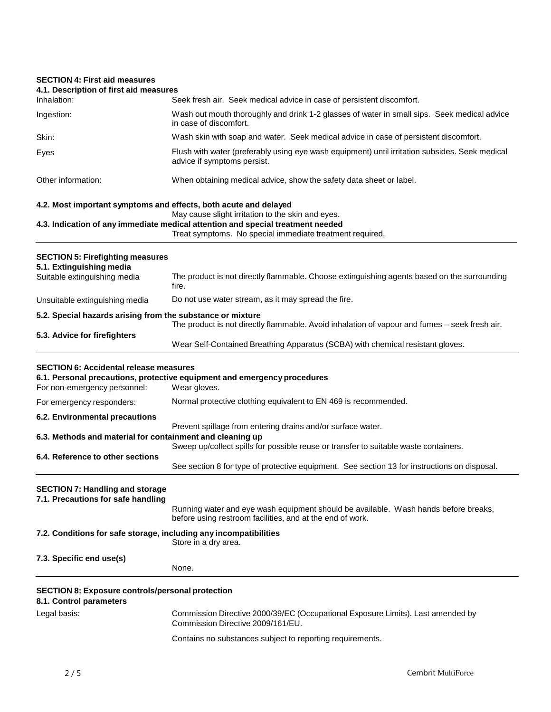# **SECTION 4: First aid measures**

| JEUTIUN 4. FIISL dIU IIIEdSUIES                                                    |                                                                                                                                                                                                  |
|------------------------------------------------------------------------------------|--------------------------------------------------------------------------------------------------------------------------------------------------------------------------------------------------|
| 4.1. Description of first aid measures<br>Inhalation:                              | Seek fresh air. Seek medical advice in case of persistent discomfort.                                                                                                                            |
| Ingestion:                                                                         | Wash out mouth thoroughly and drink 1-2 glasses of water in small sips. Seek medical advice<br>in case of discomfort.                                                                            |
| Skin:                                                                              | Wash skin with soap and water. Seek medical advice in case of persistent discomfort.                                                                                                             |
| Eyes                                                                               | Flush with water (preferably using eye wash equipment) until irritation subsides. Seek medical<br>advice if symptoms persist.                                                                    |
| Other information:                                                                 | When obtaining medical advice, show the safety data sheet or label.                                                                                                                              |
| 4.2. Most important symptoms and effects, both acute and delayed                   |                                                                                                                                                                                                  |
|                                                                                    | May cause slight irritation to the skin and eyes.<br>4.3. Indication of any immediate medical attention and special treatment needed<br>Treat symptoms. No special immediate treatment required. |
| <b>SECTION 5: Firefighting measures</b><br>5.1. Extinguishing media                |                                                                                                                                                                                                  |
| Suitable extinguishing media                                                       | The product is not directly flammable. Choose extinguishing agents based on the surrounding<br>fire.                                                                                             |
| Unsuitable extinguishing media                                                     | Do not use water stream, as it may spread the fire.                                                                                                                                              |
| 5.2. Special hazards arising from the substance or mixture                         |                                                                                                                                                                                                  |
| 5.3. Advice for firefighters                                                       | The product is not directly flammable. Avoid inhalation of vapour and fumes - seek fresh air.                                                                                                    |
|                                                                                    | Wear Self-Contained Breathing Apparatus (SCBA) with chemical resistant gloves.                                                                                                                   |
| <b>SECTION 6: Accidental release measures</b><br>For non-emergency personnel:      | 6.1. Personal precautions, protective equipment and emergency procedures<br>Wear gloves.                                                                                                         |
| For emergency responders:                                                          | Normal protective clothing equivalent to EN 469 is recommended.                                                                                                                                  |
| 6.2. Environmental precautions                                                     |                                                                                                                                                                                                  |
|                                                                                    | Prevent spillage from entering drains and/or surface water.                                                                                                                                      |
| 6.3. Methods and material for containment and cleaning up                          | Sweep up/collect spills for possible reuse or transfer to suitable waste containers.                                                                                                             |
| 6.4. Reference to other sections                                                   |                                                                                                                                                                                                  |
|                                                                                    | See section 8 for type of protective equipment. See section 13 for instructions on disposal.                                                                                                     |
| <b>SECTION 7: Handling and storage</b><br>7.1. Precautions for safe handling       |                                                                                                                                                                                                  |
|                                                                                    | Running water and eye wash equipment should be available. Wash hands before breaks,<br>before using restroom facilities, and at the end of work.                                                 |
| 7.2. Conditions for safe storage, including any incompatibilities                  | Store in a dry area.                                                                                                                                                                             |
| 7.3. Specific end use(s)                                                           |                                                                                                                                                                                                  |
|                                                                                    | None.                                                                                                                                                                                            |
| <b>SECTION 8: Exposure controls/personal protection</b><br>8.1. Control parameters |                                                                                                                                                                                                  |
| Legal basis:                                                                       | Commission Directive 2000/39/EC (Occupational Exposure Limits). Last amended by<br>Commission Directive 2009/161/EU.                                                                             |
|                                                                                    | Contains no substances subject to reporting requirements.                                                                                                                                        |
|                                                                                    |                                                                                                                                                                                                  |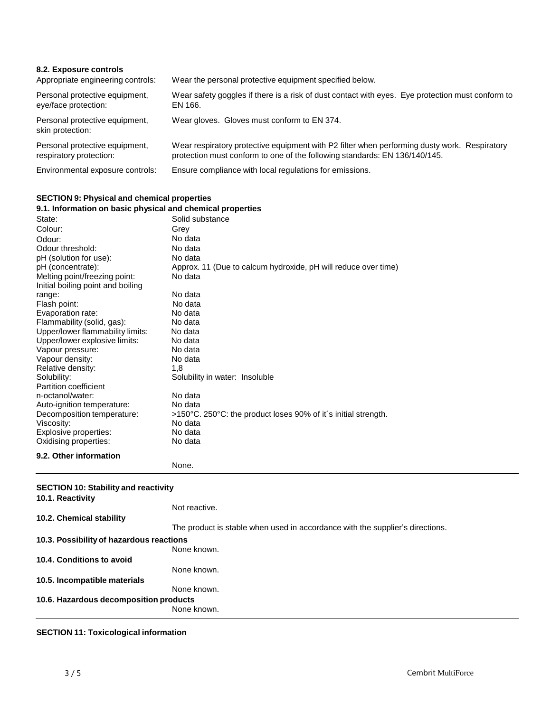| 8.2. Exposure controls<br>Appropriate engineering controls: | Wear the personal protective equipment specified below.                                                                                                                    |
|-------------------------------------------------------------|----------------------------------------------------------------------------------------------------------------------------------------------------------------------------|
| Personal protective equipment,<br>eye/face protection:      | Wear safety goggles if there is a risk of dust contact with eyes. Eye protection must conform to<br>EN 166.                                                                |
| Personal protective equipment,<br>skin protection:          | Wear gloves. Gloves must conform to EN 374.                                                                                                                                |
| Personal protective equipment,<br>respiratory protection:   | Wear respiratory protective equipment with P2 filter when performing dusty work. Respiratory<br>protection must conform to one of the following standards: EN 136/140/145. |
| Environmental exposure controls:                            | Ensure compliance with local regulations for emissions.                                                                                                                    |

#### **SECTION 9: Physical and chemical properties**

| 9.1. Information on basic physical and chemical properties |                                                                |  |
|------------------------------------------------------------|----------------------------------------------------------------|--|
| State:                                                     | Solid substance                                                |  |
| Colour:                                                    | Grey                                                           |  |
| Odour:                                                     | No data                                                        |  |
| Odour threshold:                                           | No data                                                        |  |
| pH (solution for use):                                     | No data                                                        |  |
| pH (concentrate):                                          | Approx. 11 (Due to calcum hydroxide, pH will reduce over time) |  |
| Melting point/freezing point:                              | No data                                                        |  |
| Initial boiling point and boiling                          |                                                                |  |
| range:                                                     | No data                                                        |  |
| Flash point:                                               | No data                                                        |  |
| Evaporation rate:                                          | No data                                                        |  |
| Flammability (solid, gas):                                 | No data                                                        |  |
| Upper/lower flammability limits:                           | No data                                                        |  |
| Upper/lower explosive limits:                              | No data                                                        |  |
| Vapour pressure:                                           | No data                                                        |  |
| Vapour density:                                            | No data                                                        |  |
| Relative density:                                          | 1,8                                                            |  |
| Solubility:                                                | Solubility in water: Insoluble                                 |  |
| Partition coefficient                                      |                                                                |  |
| n-octanol/water:                                           | No data                                                        |  |
| Auto-ignition temperature:                                 | No data                                                        |  |
| Decomposition temperature:                                 | >150°C. 250°C: the product loses 90% of it's initial strength. |  |
| Viscosity:                                                 | No data                                                        |  |
| Explosive properties:                                      | No data                                                        |  |
| Oxidising properties:                                      | No data                                                        |  |
| 9.2. Other information                                     |                                                                |  |
|                                                            | None.                                                          |  |
|                                                            |                                                                |  |
| <b>SECTION 10: Stability and reactivity</b>                |                                                                |  |
| 10.1. Reactivity                                           |                                                                |  |

## **10.2. Chemical stability** Not reactive. The product is stable when used in accordance with the supplier's directions. **10.3. Possibilityof hazardous reactions** None known. **10.4. Conditions to avoid 10.5. Incompatible materials** None known. None known. **10.6. Hazardous decomposition products** None known.

#### **SECTION 11: Toxicological information**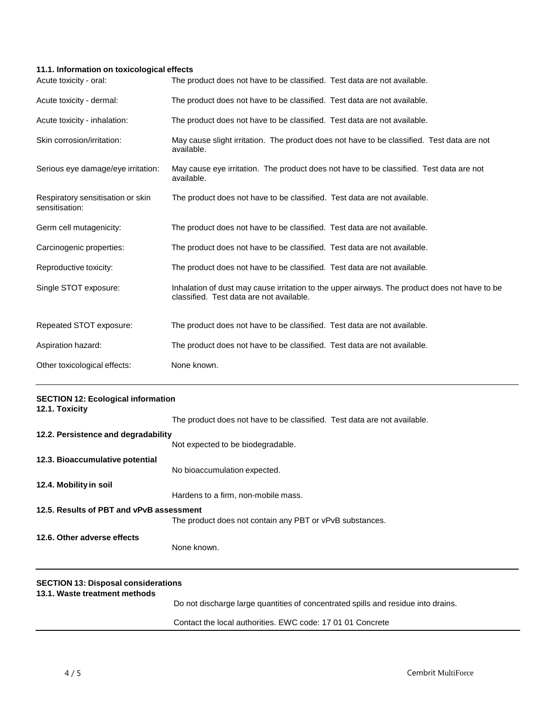### **11.1. Information on toxicological effects**

| Acute toxicity - oral:                              | The product does not have to be classified. Test data are not available.                                                                  |
|-----------------------------------------------------|-------------------------------------------------------------------------------------------------------------------------------------------|
| Acute toxicity - dermal:                            | The product does not have to be classified. Test data are not available.                                                                  |
| Acute toxicity - inhalation:                        | The product does not have to be classified. Test data are not available.                                                                  |
| Skin corrosion/irritation:                          | May cause slight irritation. The product does not have to be classified. Test data are not<br>available.                                  |
| Serious eye damage/eye irritation:                  | May cause eye irritation. The product does not have to be classified. Test data are not<br>available.                                     |
| Respiratory sensitisation or skin<br>sensitisation: | The product does not have to be classified. Test data are not available.                                                                  |
| Germ cell mutagenicity:                             | The product does not have to be classified. Test data are not available.                                                                  |
| Carcinogenic properties:                            | The product does not have to be classified. Test data are not available.                                                                  |
| Reproductive toxicity:                              | The product does not have to be classified. Test data are not available.                                                                  |
| Single STOT exposure:                               | Inhalation of dust may cause irritation to the upper airways. The product does not have to be<br>classified. Test data are not available. |
| Repeated STOT exposure:                             | The product does not have to be classified. Test data are not available.                                                                  |
| Aspiration hazard:                                  | The product does not have to be classified. Test data are not available.                                                                  |
| Other toxicological effects:                        | None known.                                                                                                                               |

| <b>SECTION 12: Ecological information</b><br>12.1. Toxicity                 |                                                                                   |
|-----------------------------------------------------------------------------|-----------------------------------------------------------------------------------|
|                                                                             | The product does not have to be classified. Test data are not available.          |
| 12.2. Persistence and degradability                                         |                                                                                   |
|                                                                             | Not expected to be biodegradable.                                                 |
| 12.3. Bioaccumulative potential                                             |                                                                                   |
|                                                                             | No bioaccumulation expected.                                                      |
| 12.4. Mobility in soil                                                      |                                                                                   |
|                                                                             | Hardens to a firm, non-mobile mass.                                               |
| 12.5. Results of PBT and vPvB assessment                                    |                                                                                   |
|                                                                             | The product does not contain any PBT or vPvB substances.                          |
| 12.6. Other adverse effects                                                 |                                                                                   |
|                                                                             | None known.                                                                       |
|                                                                             |                                                                                   |
| <b>SECTION 13: Disposal considerations</b><br>13.1. Waste treatment methods |                                                                                   |
|                                                                             | Do not discharge large quantities of concentrated spills and residue into drains. |
|                                                                             | Contact the local authorities. EWC code: 17 01 01 Concrete                        |